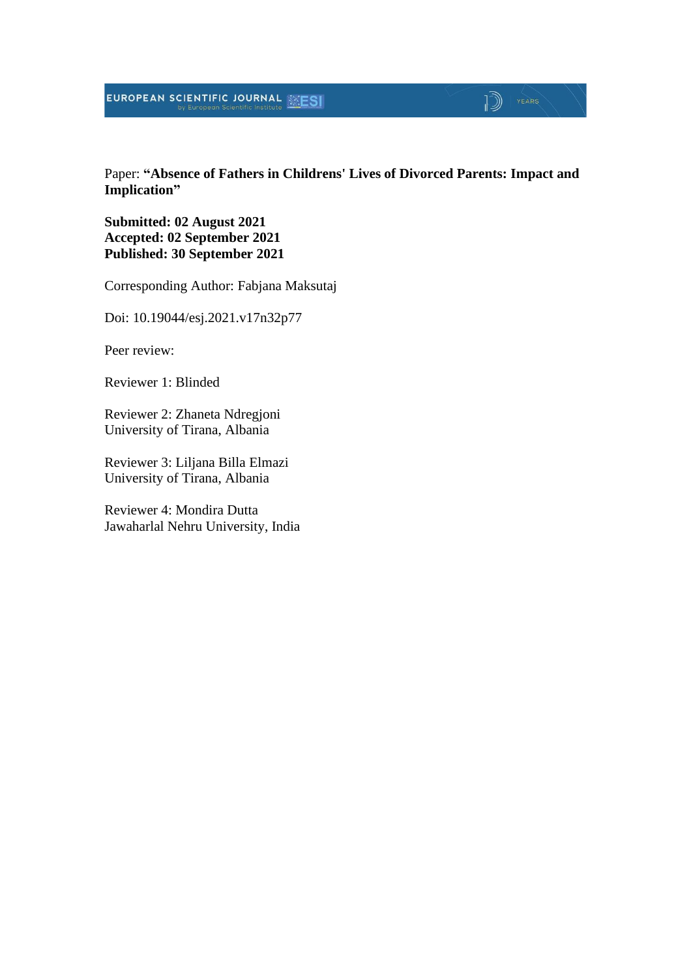### EUROPEAN SCIENTIFIC JOURNAL

#### Paper: **"Absence of Fathers in Childrens' Lives of Divorced Parents: Impact and Implication"**

 $\mathbb{D}$   $\mathbb{P}$   $\mathbb{P}$   $\mathbb{P}$   $\mathbb{P}$   $\mathbb{P}$   $\mathbb{P}$   $\mathbb{P}$   $\mathbb{P}$   $\mathbb{P}$   $\mathbb{P}$   $\mathbb{P}$   $\mathbb{P}$   $\mathbb{P}$   $\mathbb{P}$   $\mathbb{P}$   $\mathbb{P}$   $\mathbb{P}$   $\mathbb{P}$   $\mathbb{P}$   $\mathbb{P}$   $\mathbb{P}$   $\mathbb{P}$   $\mathbb{P}$   $\mathbb{$ 

**Submitted: 02 August 2021 Accepted: 02 September 2021 Published: 30 September 2021**

Corresponding Author: Fabjana Maksutaj

Doi: 10.19044/esj.2021.v17n32p77

Peer review:

Reviewer 1: Blinded

Reviewer 2: Zhaneta Ndregjoni University of Tirana, Albania

Reviewer 3: Liljana Billa Elmazi University of Tirana, Albania

Reviewer 4: Mondira Dutta Jawaharlal Nehru University, India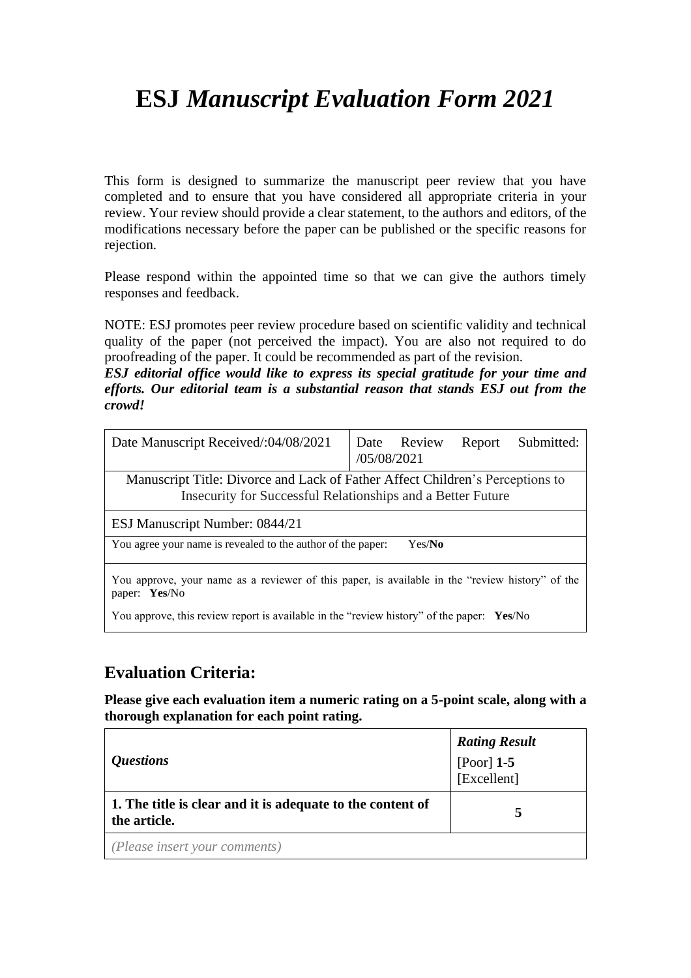# **ESJ** *Manuscript Evaluation Form 2021*

This form is designed to summarize the manuscript peer review that you have completed and to ensure that you have considered all appropriate criteria in your review. Your review should provide a clear statement, to the authors and editors, of the modifications necessary before the paper can be published or the specific reasons for rejection.

Please respond within the appointed time so that we can give the authors timely responses and feedback.

NOTE: ESJ promotes peer review procedure based on scientific validity and technical quality of the paper (not perceived the impact). You are also not required to do proofreading of the paper. It could be recommended as part of the revision.

*ESJ editorial office would like to express its special gratitude for your time and efforts. Our editorial team is a substantial reason that stands ESJ out from the crowd!*

| Date Manuscript Received/:04/08/2021                                                                                                         | /05/08/2021 | Date Review | Report | Submitted: |
|----------------------------------------------------------------------------------------------------------------------------------------------|-------------|-------------|--------|------------|
| Manuscript Title: Divorce and Lack of Father Affect Children's Perceptions to<br>Insecurity for Successful Relationships and a Better Future |             |             |        |            |
| ESJ Manuscript Number: 0844/21                                                                                                               |             |             |        |            |
| You agree your name is revealed to the author of the paper:<br>Yes/No                                                                        |             |             |        |            |
| You approve, your name as a reviewer of this paper, is available in the "review history" of the<br>paper: Yes/No                             |             |             |        |            |
| You approve, this review report is available in the "review history" of the paper: Yes/No                                                    |             |             |        |            |

#### **Evaluation Criteria:**

**Please give each evaluation item a numeric rating on a 5-point scale, along with a thorough explanation for each point rating.**

| <i><b>Questions</b></i>                                                    | <b>Rating Result</b><br>[Poor] $1-5$<br>[Excellent] |
|----------------------------------------------------------------------------|-----------------------------------------------------|
| 1. The title is clear and it is adequate to the content of<br>the article. |                                                     |
| (Please insert your comments)                                              |                                                     |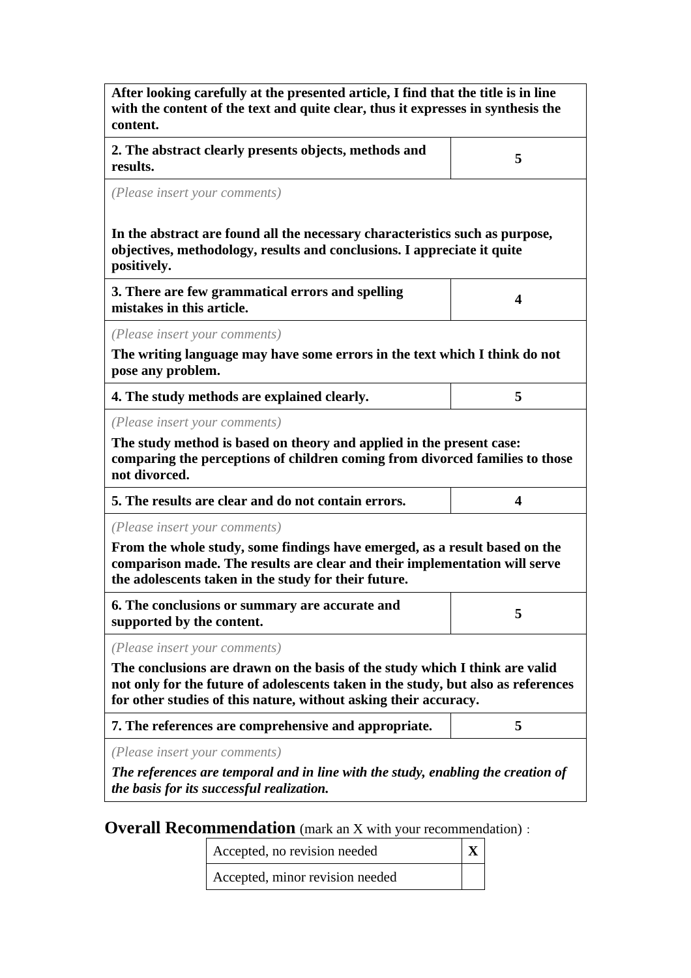| After looking carefully at the presented article, I find that the title is in line<br>with the content of the text and quite clear, thus it expresses in synthesis the<br>content.                                                                |   |  |  |
|---------------------------------------------------------------------------------------------------------------------------------------------------------------------------------------------------------------------------------------------------|---|--|--|
| 2. The abstract clearly presents objects, methods and<br>results.                                                                                                                                                                                 | 5 |  |  |
| (Please insert your comments)                                                                                                                                                                                                                     |   |  |  |
| In the abstract are found all the necessary characteristics such as purpose,<br>objectives, methodology, results and conclusions. I appreciate it quite<br>positively.                                                                            |   |  |  |
| 3. There are few grammatical errors and spelling<br>mistakes in this article.                                                                                                                                                                     | 4 |  |  |
| (Please insert your comments)                                                                                                                                                                                                                     |   |  |  |
| The writing language may have some errors in the text which I think do not<br>pose any problem.                                                                                                                                                   |   |  |  |
| 4. The study methods are explained clearly.                                                                                                                                                                                                       | 5 |  |  |
| (Please insert your comments)<br>The study method is based on theory and applied in the present case:<br>comparing the perceptions of children coming from divorced families to those<br>not divorced.                                            |   |  |  |
| 5. The results are clear and do not contain errors.                                                                                                                                                                                               | 4 |  |  |
| (Please insert your comments)<br>From the whole study, some findings have emerged, as a result based on the<br>comparison made. The results are clear and their implementation will serve<br>the adolescents taken in the study for their future. |   |  |  |
| 6. The conclusions or summary are accurate and<br>supported by the content.                                                                                                                                                                       | 5 |  |  |
| (Please insert your comments)                                                                                                                                                                                                                     |   |  |  |
| The conclusions are drawn on the basis of the study which I think are valid<br>not only for the future of adolescents taken in the study, but also as references<br>for other studies of this nature, without asking their accuracy.              |   |  |  |
| 7. The references are comprehensive and appropriate.                                                                                                                                                                                              | 5 |  |  |
| (Please insert your comments)<br>The references are temporal and in line with the study, enabling the creation of<br>the basis for its successful realization.                                                                                    |   |  |  |

**Overall Recommendation** (mark an X with your recommendation):

Accepted, no revision needed **X**

Accepted, minor revision needed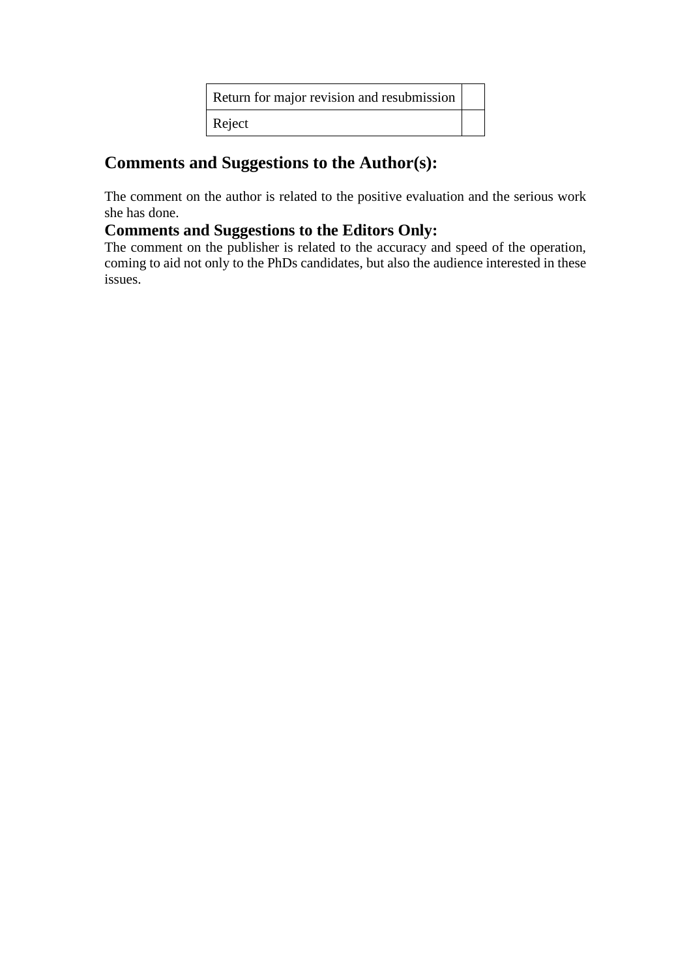| Return for major revision and resubmission |  |
|--------------------------------------------|--|
| Reject                                     |  |

### **Comments and Suggestions to the Author(s):**

The comment on the author is related to the positive evaluation and the serious work she has done.

#### **Comments and Suggestions to the Editors Only:**

The comment on the publisher is related to the accuracy and speed of the operation, coming to aid not only to the PhDs candidates, but also the audience interested in these issues.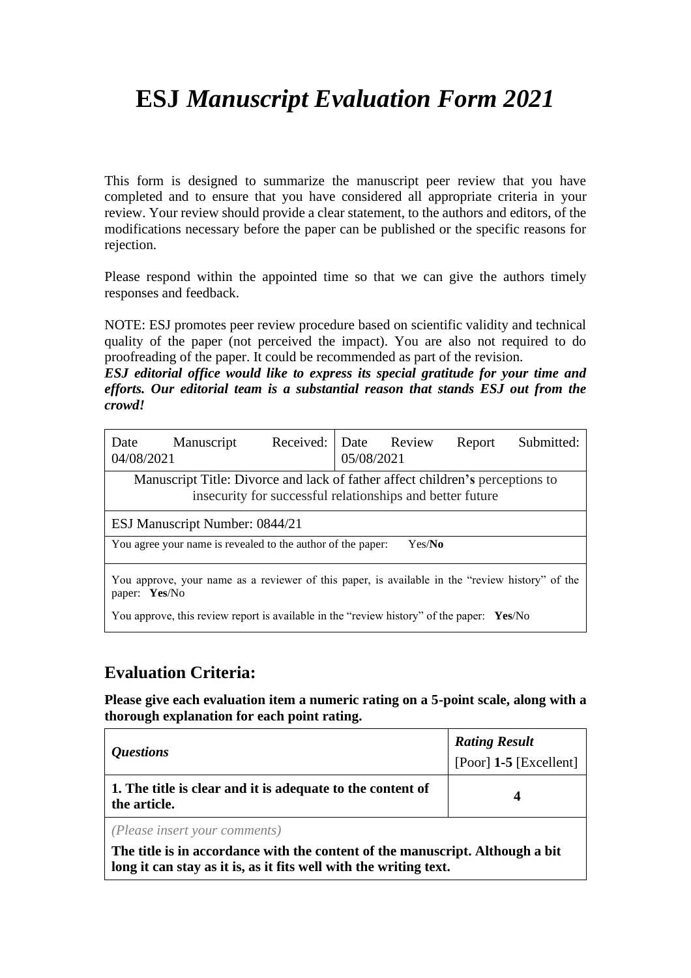# **ESJ** *Manuscript Evaluation Form 2021*

This form is designed to summarize the manuscript peer review that you have completed and to ensure that you have considered all appropriate criteria in your review. Your review should provide a clear statement, to the authors and editors, of the modifications necessary before the paper can be published or the specific reasons for rejection.

Please respond within the appointed time so that we can give the authors timely responses and feedback.

NOTE: ESJ promotes peer review procedure based on scientific validity and technical quality of the paper (not perceived the impact). You are also not required to do proofreading of the paper. It could be recommended as part of the revision.

*ESJ editorial office would like to express its special gratitude for your time and efforts. Our editorial team is a substantial reason that stands ESJ out from the crowd!*

| Date<br>04/08/2021                                                                                                                         | Manuscript                                                                                | Received: Date Review | 05/08/2021 |  | Report | Submitted: |
|--------------------------------------------------------------------------------------------------------------------------------------------|-------------------------------------------------------------------------------------------|-----------------------|------------|--|--------|------------|
| Manuscript Title: Divorce and lack of father affect children's perceptions to<br>insecurity for successful relationships and better future |                                                                                           |                       |            |  |        |            |
| ESJ Manuscript Number: 0844/21                                                                                                             |                                                                                           |                       |            |  |        |            |
| You agree your name is revealed to the author of the paper:<br>Yes/No                                                                      |                                                                                           |                       |            |  |        |            |
| You approve, your name as a reviewer of this paper, is available in the "review history" of the<br>paper: Yes/No                           |                                                                                           |                       |            |  |        |            |
|                                                                                                                                            | You approve, this review report is available in the "review history" of the paper: Yes/No |                       |            |  |        |            |

#### **Evaluation Criteria:**

**Please give each evaluation item a numeric rating on a 5-point scale, along with a thorough explanation for each point rating.**

| <i><b>Questions</b></i>                                                    | <b>Rating Result</b><br>$[Poor]$ 1-5 $[Excellent]$ |
|----------------------------------------------------------------------------|----------------------------------------------------|
| 1. The title is clear and it is adequate to the content of<br>the article. | Δ                                                  |
| (D)                                                                        |                                                    |

*(Please insert your comments)*

**The title is in accordance with the content of the manuscript. Although a bit long it can stay as it is, as it fits well with the writing text.**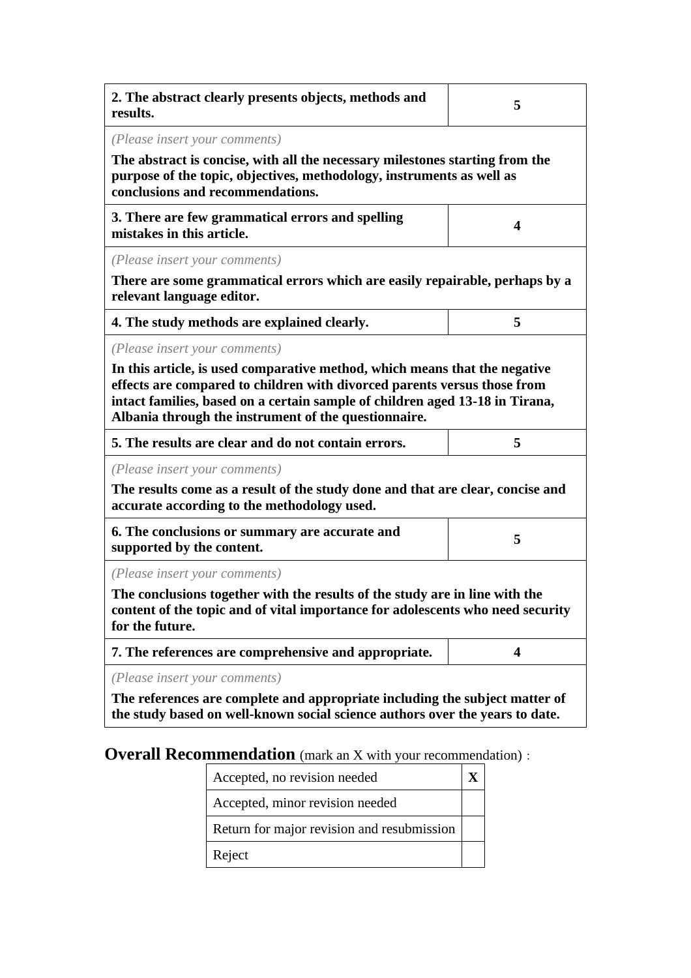| 2. The abstract clearly presents objects, methods and<br>results.                                                                                                                                                                                                                                                               | 5                |  |  |
|---------------------------------------------------------------------------------------------------------------------------------------------------------------------------------------------------------------------------------------------------------------------------------------------------------------------------------|------------------|--|--|
| (Please insert your comments)<br>The abstract is concise, with all the necessary milestones starting from the<br>purpose of the topic, objectives, methodology, instruments as well as<br>conclusions and recommendations.                                                                                                      |                  |  |  |
| 3. There are few grammatical errors and spelling<br>mistakes in this article.                                                                                                                                                                                                                                                   | $\boldsymbol{4}$ |  |  |
| (Please insert your comments)<br>There are some grammatical errors which are easily repairable, perhaps by a<br>relevant language editor.                                                                                                                                                                                       |                  |  |  |
| 4. The study methods are explained clearly.                                                                                                                                                                                                                                                                                     | 5                |  |  |
| (Please insert your comments)<br>In this article, is used comparative method, which means that the negative<br>effects are compared to children with divorced parents versus those from<br>intact families, based on a certain sample of children aged 13-18 in Tirana,<br>Albania through the instrument of the questionnaire. |                  |  |  |
| 5. The results are clear and do not contain errors.                                                                                                                                                                                                                                                                             | 5                |  |  |
| (Please insert your comments)<br>The results come as a result of the study done and that are clear, concise and<br>accurate according to the methodology used.                                                                                                                                                                  |                  |  |  |
| 6. The conclusions or summary are accurate and<br>supported by the content.                                                                                                                                                                                                                                                     | 5                |  |  |
| (Please insert your comments)<br>The conclusions together with the results of the study are in line with the<br>content of the topic and of vital importance for adolescents who need security<br>for the future.                                                                                                               |                  |  |  |
| 7. The references are comprehensive and appropriate.                                                                                                                                                                                                                                                                            | 4                |  |  |
| (Please insert your comments)<br>The references are complete and appropriate including the subject matter of<br>the study based on well-known social science authors over the years to date.                                                                                                                                    |                  |  |  |

## **Overall Recommendation** (mark an X with your recommendation):

| Accepted, no revision needed               |  |
|--------------------------------------------|--|
| Accepted, minor revision needed            |  |
| Return for major revision and resubmission |  |
| Reject                                     |  |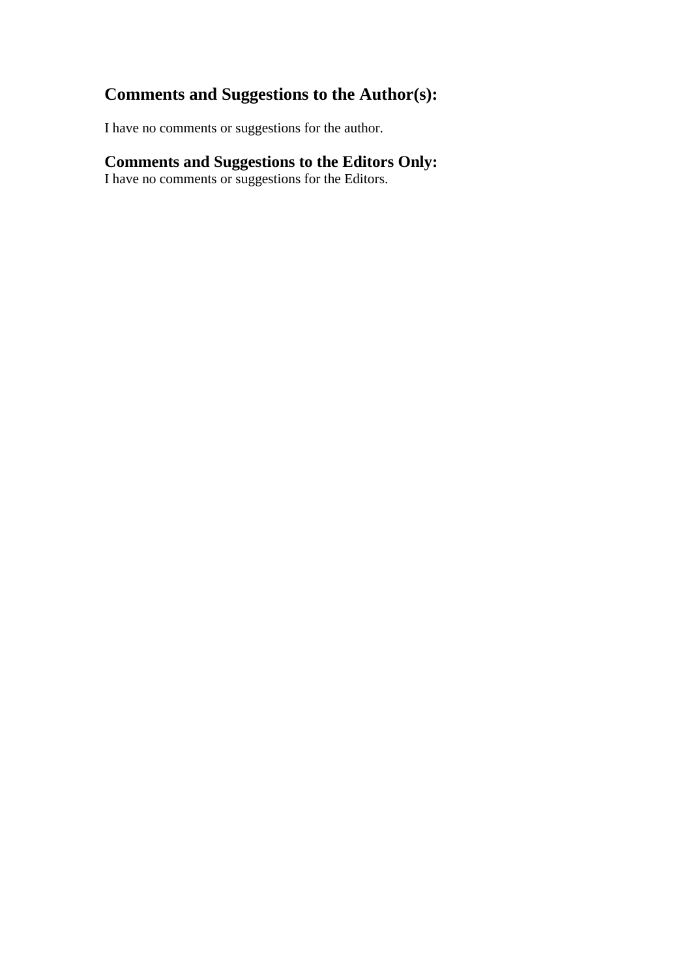### **Comments and Suggestions to the Author(s):**

I have no comments or suggestions for the author.

#### **Comments and Suggestions to the Editors Only:**

I have no comments or suggestions for the Editors.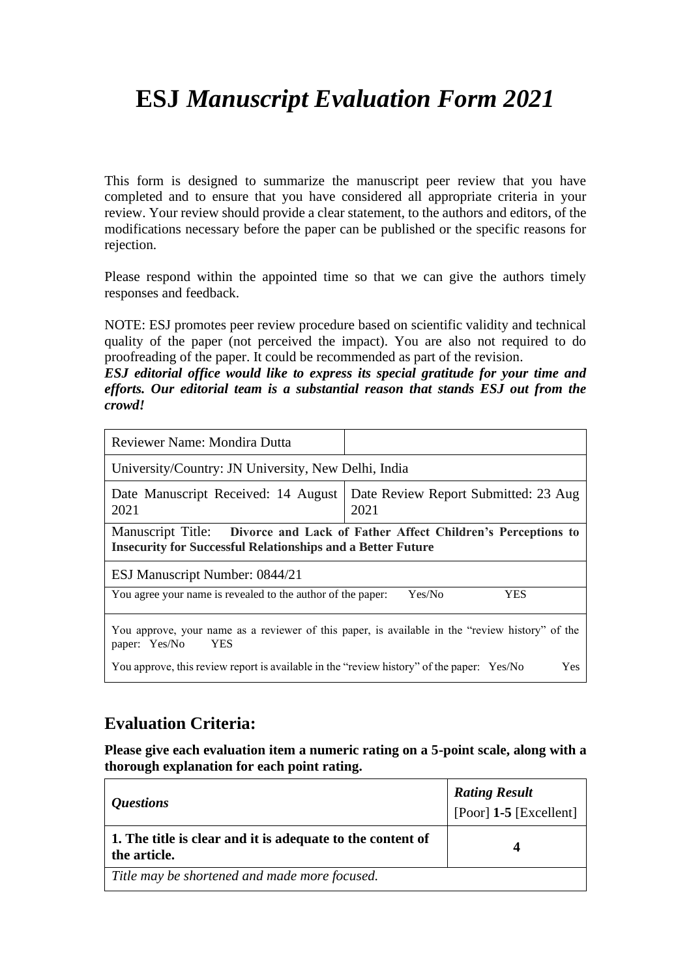# **ESJ** *Manuscript Evaluation Form 2021*

This form is designed to summarize the manuscript peer review that you have completed and to ensure that you have considered all appropriate criteria in your review. Your review should provide a clear statement, to the authors and editors, of the modifications necessary before the paper can be published or the specific reasons for rejection.

Please respond within the appointed time so that we can give the authors timely responses and feedback.

NOTE: ESJ promotes peer review procedure based on scientific validity and technical quality of the paper (not perceived the impact). You are also not required to do proofreading of the paper. It could be recommended as part of the revision.

*ESJ editorial office would like to express its special gratitude for your time and efforts. Our editorial team is a substantial reason that stands ESJ out from the crowd!*

| Reviewer Name: Mondira Dutta                                                                                                                        |                      |  |  |
|-----------------------------------------------------------------------------------------------------------------------------------------------------|----------------------|--|--|
| University/Country: JN University, New Delhi, India                                                                                                 |                      |  |  |
| Date Review Report Submitted: 23 Aug<br>Date Manuscript Received: 14 August<br>2021<br>2021                                                         |                      |  |  |
| Manuscript Title: Divorce and Lack of Father Affect Children's Perceptions to<br><b>Insecurity for Successful Relationships and a Better Future</b> |                      |  |  |
| ESJ Manuscript Number: 0844/21                                                                                                                      |                      |  |  |
| You agree your name is revealed to the author of the paper:                                                                                         | Yes/No<br><b>YES</b> |  |  |
| You approve, your name as a reviewer of this paper, is available in the "review history" of the<br>paper: Yes/No<br><b>YES</b>                      |                      |  |  |
| You approve, this review report is available in the "review history" of the paper: Yes/No<br>Yes                                                    |                      |  |  |

#### **Evaluation Criteria:**

**Please give each evaluation item a numeric rating on a 5-point scale, along with a thorough explanation for each point rating.**

| <i><b>Questions</b></i>                                                    | <b>Rating Result</b><br>$[Poor]$ 1-5 $[Excellent]$ |
|----------------------------------------------------------------------------|----------------------------------------------------|
| 1. The title is clear and it is adequate to the content of<br>the article. | Δ                                                  |
| Title may be shortened and made more focused.                              |                                                    |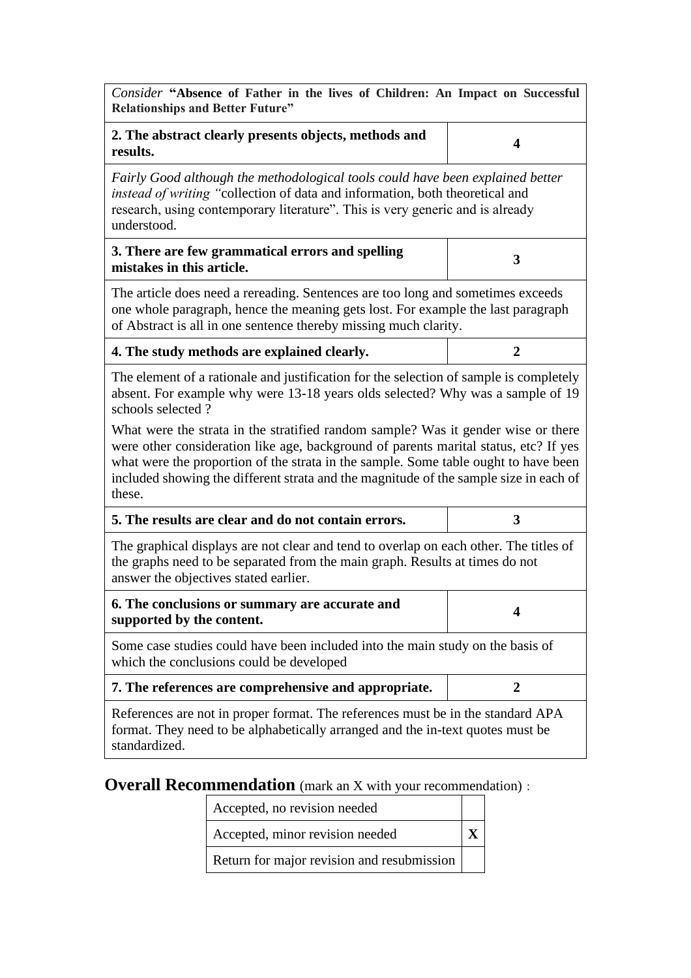| Consider "Absence of Father in the lives of Children: An Impact on Successful<br><b>Relationships and Better Future"</b>                                                                                                                                                                                                                                                                                                                                                                                                                                             |                  |  |  |
|----------------------------------------------------------------------------------------------------------------------------------------------------------------------------------------------------------------------------------------------------------------------------------------------------------------------------------------------------------------------------------------------------------------------------------------------------------------------------------------------------------------------------------------------------------------------|------------------|--|--|
| 2. The abstract clearly presents objects, methods and<br>results.                                                                                                                                                                                                                                                                                                                                                                                                                                                                                                    | $\boldsymbol{4}$ |  |  |
| Fairly Good although the methodological tools could have been explained better<br>instead of writing "collection of data and information, both theoretical and<br>research, using contemporary literature". This is very generic and is already<br>understood.                                                                                                                                                                                                                                                                                                       |                  |  |  |
| 3. There are few grammatical errors and spelling<br>mistakes in this article.                                                                                                                                                                                                                                                                                                                                                                                                                                                                                        | 3                |  |  |
| The article does need a rereading. Sentences are too long and sometimes exceeds<br>one whole paragraph, hence the meaning gets lost. For example the last paragraph<br>of Abstract is all in one sentence thereby missing much clarity.                                                                                                                                                                                                                                                                                                                              |                  |  |  |
| 4. The study methods are explained clearly.                                                                                                                                                                                                                                                                                                                                                                                                                                                                                                                          | $\overline{2}$   |  |  |
| The element of a rationale and justification for the selection of sample is completely<br>absent. For example why were 13-18 years olds selected? Why was a sample of 19<br>schools selected?<br>What were the strata in the stratified random sample? Was it gender wise or there<br>were other consideration like age, background of parents marital status, etc? If yes<br>what were the proportion of the strata in the sample. Some table ought to have been<br>included showing the different strata and the magnitude of the sample size in each of<br>these. |                  |  |  |
| 5. The results are clear and do not contain errors.                                                                                                                                                                                                                                                                                                                                                                                                                                                                                                                  | 3                |  |  |
| The graphical displays are not clear and tend to overlap on each other. The titles of<br>the graphs need to be separated from the main graph. Results at times do not<br>answer the objectives stated earlier.                                                                                                                                                                                                                                                                                                                                                       |                  |  |  |
| 6. The conclusions or summary are accurate and<br>supported by the content.                                                                                                                                                                                                                                                                                                                                                                                                                                                                                          | 4                |  |  |
| Some case studies could have been included into the main study on the basis of<br>which the conclusions could be developed                                                                                                                                                                                                                                                                                                                                                                                                                                           |                  |  |  |
| 7. The references are comprehensive and appropriate.                                                                                                                                                                                                                                                                                                                                                                                                                                                                                                                 | 2                |  |  |
| References are not in proper format. The references must be in the standard APA<br>format. They need to be alphabetically arranged and the in-text quotes must be<br>standardized.                                                                                                                                                                                                                                                                                                                                                                                   |                  |  |  |

**Overall Recommendation** (mark an X with your recommendation):

Accepted, no revision needed

Accepted, minor revision needed **X**

Return for major revision and resubmission